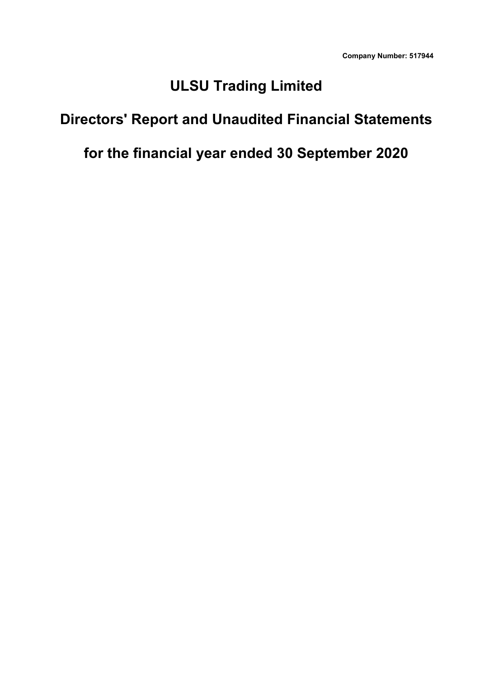# **ULSU Trading Limited**

# **Directors' Report and Unaudited Financial Statements**

# **for the financial year ended 30 September 2020**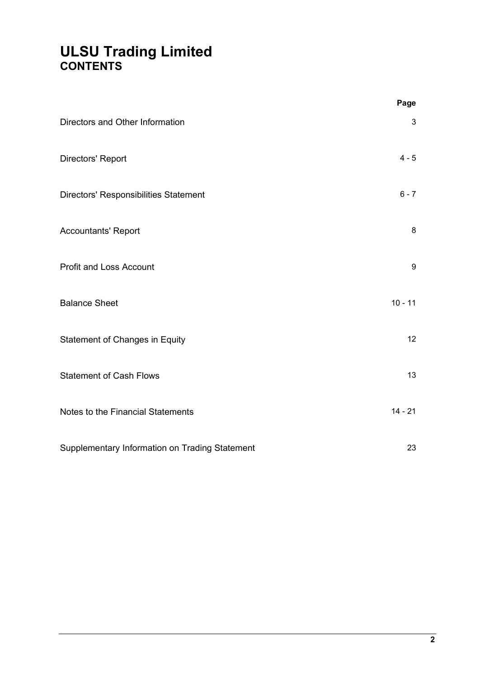# **ULSU Trading Limited CONTENTS**

|                                                | Page           |  |
|------------------------------------------------|----------------|--|
| Directors and Other Information                | $\mathfrak{3}$ |  |
| Directors' Report                              | $4 - 5$        |  |
| Directors' Responsibilities Statement          | $6 - 7$        |  |
| <b>Accountants' Report</b>                     | $\bf 8$        |  |
| <b>Profit and Loss Account</b>                 | 9              |  |
| <b>Balance Sheet</b>                           | $10 - 11$      |  |
| Statement of Changes in Equity                 | 12             |  |
| <b>Statement of Cash Flows</b>                 | 13             |  |
| Notes to the Financial Statements              | $14 - 21$      |  |
| Supplementary Information on Trading Statement | 23             |  |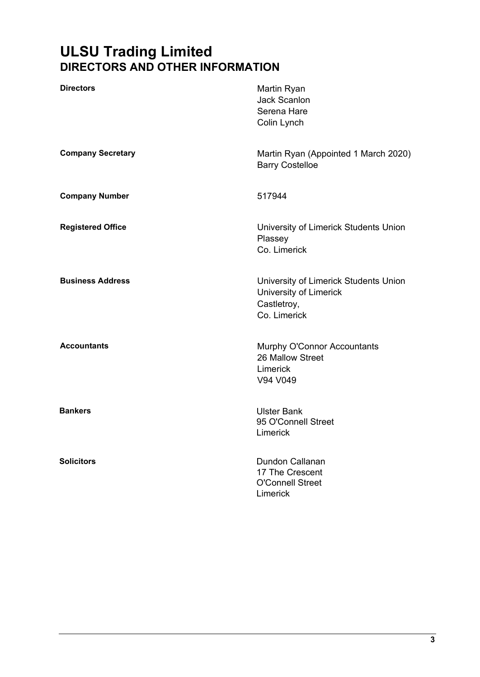# **ULSU Trading Limited DIRECTORS AND OTHER INFORMATION**

| <b>Directors</b>         | Martin Ryan<br><b>Jack Scanlon</b><br>Serena Hare<br>Colin Lynch                               |
|--------------------------|------------------------------------------------------------------------------------------------|
| <b>Company Secretary</b> | Martin Ryan (Appointed 1 March 2020)<br><b>Barry Costelloe</b>                                 |
| <b>Company Number</b>    | 517944                                                                                         |
| <b>Registered Office</b> | University of Limerick Students Union<br>Plassey<br>Co. Limerick                               |
| <b>Business Address</b>  | University of Limerick Students Union<br>University of Limerick<br>Castletroy,<br>Co. Limerick |
| <b>Accountants</b>       | Murphy O'Connor Accountants<br>26 Mallow Street<br>Limerick<br>V94 V049                        |
| <b>Bankers</b>           | <b>Ulster Bank</b><br>95 O'Connell Street<br>Limerick                                          |
| <b>Solicitors</b>        | Dundon Callanan<br>17 The Crescent<br><b>O'Connell Street</b><br>Limerick                      |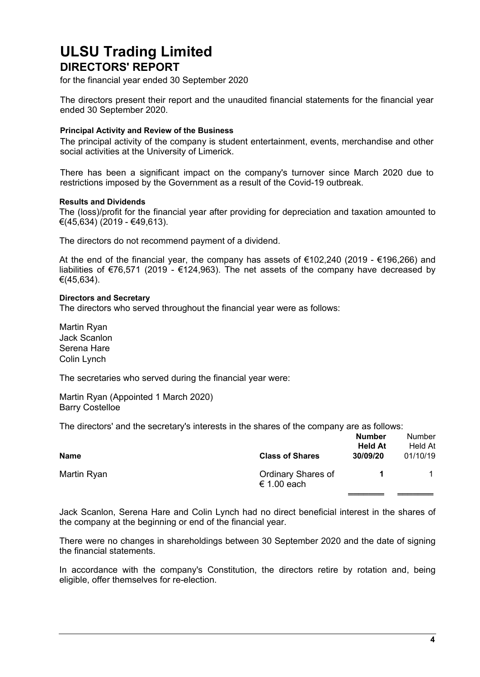# **ULSU Trading Limited DIRECTORS' REPORT**

for the financial year ended 30 September 2020

The directors present their report and the unaudited financial statements for the financial year ended 30 September 2020.

#### **Principal Activity and Review of the Business**

The principal activity of the company is student entertainment, events, merchandise and other social activities at the University of Limerick.

There has been a significant impact on the company's turnover since March 2020 due to restrictions imposed by the Government as a result of the Covid-19 outbreak.

#### **Results and Dividends**

The (loss)/profit for the financial year after providing for depreciation and taxation amounted to €(45,634) (2019 - €49,613).

The directors do not recommend payment of a dividend.

At the end of the financial year, the company has assets of €102,240 (2019 - €196,266) and liabilities of €76,571 (2019 - €124,963). The net assets of the company have decreased by €(45,634).

#### **Directors and Secretary**

The directors who served throughout the financial year were as follows:

Martin Ryan Jack Scanlon Serena Hare Colin Lynch

The secretaries who served during the financial year were:

Martin Ryan (Appointed 1 March 2020) Barry Costelloe

The directors' and the secretary's interests in the shares of the company are as follows:

| <b>Name</b> | <b>Class of Shares</b>            | <b>Number</b><br><b>Held At</b><br>30/09/20 | <b>Number</b><br>Held At<br>01/10/19 |
|-------------|-----------------------------------|---------------------------------------------|--------------------------------------|
| Martin Ryan | Ordinary Shares of<br>€ 1.00 each |                                             |                                      |

Jack Scanlon, Serena Hare and Colin Lynch had no direct beneficial interest in the shares of the company at the beginning or end of the financial year.

There were no changes in shareholdings between 30 September 2020 and the date of signing the financial statements.

In accordance with the company's Constitution, the directors retire by rotation and, being eligible, offer themselves for re-election.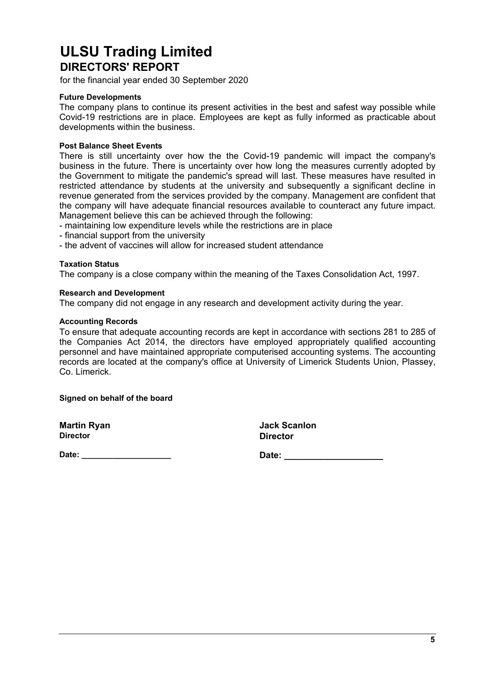# **ULSU Trading Limited DIRECTORS' REPORT**

for the financial year ended 30 September 2020

#### **Future Developments**

The company plans to continue its present activities in the best and safest way possible while Covid-19 restrictions are in place. Employees are kept as fully informed as practicable about developments within the business.

#### **Post Balance Sheet Events**

There is still uncertainty over how the the Covid-19 pandemic will impact the company's business in the future. There is uncertainty over how long the measures currently adopted by the Government to mitigate the pandemic's spread will last. These measures have resulted in restricted attendance by students at the university and subsequently a significant decline in revenue generated from the services provided by the company. Management are confident that the company will have adequate financial resources available to counteract any future impact. Management believe this can be achieved through the following:

- maintaining low expenditure levels while the restrictions are in place

- financial support from the university
- the advent of vaccines will allow for increased student attendance

#### **Taxation Status**

The company is a close company within the meaning of the Taxes Consolidation Act, 1997.

#### **Research and Development**

The company did not engage in any research and development activity during the year.

#### **Accounting Records**

To ensure that adequate accounting records are kept in accordance with sections 281 to 285 of the Companies Act 2014, the directors have employed appropriately qualified accounting personnel and have maintained appropriate computerised accounting systems. The accounting records are located at the company's office at University of Limerick Students Union, Plassey, Co. Limerick.

**Signed on behalf of the board**

| <b>Martin Ryan</b> | <b>Jack Scanlon</b> |
|--------------------|---------------------|
| <b>Director</b>    | <b>Director</b>     |

**Date: \_\_\_\_\_\_\_\_\_\_\_\_\_\_\_\_\_\_\_\_ Date: \_\_\_\_\_\_\_\_\_\_\_\_\_\_\_\_\_\_\_\_**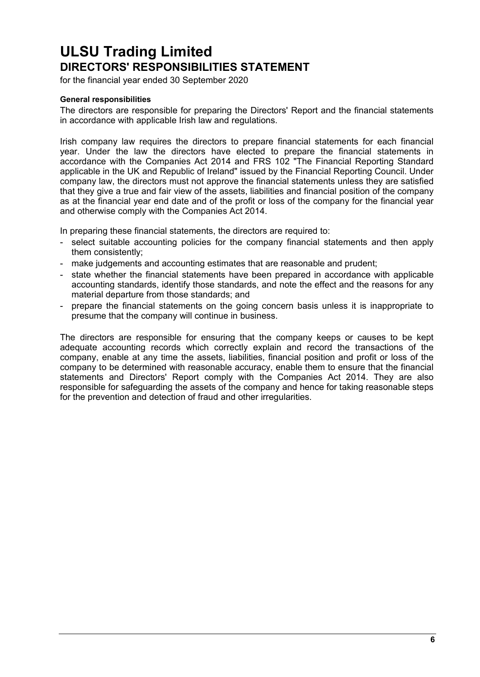# **ULSU Trading Limited DIRECTORS' RESPONSIBILITIES STATEMENT**

for the financial year ended 30 September 2020

#### **General responsibilities**

The directors are responsible for preparing the Directors' Report and the financial statements in accordance with applicable Irish law and regulations.

Irish company law requires the directors to prepare financial statements for each financial year. Under the law the directors have elected to prepare the financial statements in accordance with the Companies Act 2014 and FRS 102 "The Financial Reporting Standard applicable in the UK and Republic of Ireland" issued by the Financial Reporting Council. Under company law, the directors must not approve the financial statements unless they are satisfied that they give a true and fair view of the assets, liabilities and financial position of the company as at the financial year end date and of the profit or loss of the company for the financial year and otherwise comply with the Companies Act 2014.

In preparing these financial statements, the directors are required to:

- select suitable accounting policies for the company financial statements and then apply them consistently;
- make judgements and accounting estimates that are reasonable and prudent;
- state whether the financial statements have been prepared in accordance with applicable accounting standards, identify those standards, and note the effect and the reasons for any material departure from those standards; and
- prepare the financial statements on the going concern basis unless it is inappropriate to presume that the company will continue in business.

The directors are responsible for ensuring that the company keeps or causes to be kept adequate accounting records which correctly explain and record the transactions of the company, enable at any time the assets, liabilities, financial position and profit or loss of the company to be determined with reasonable accuracy, enable them to ensure that the financial statements and Directors' Report comply with the Companies Act 2014. They are also responsible for safeguarding the assets of the company and hence for taking reasonable steps for the prevention and detection of fraud and other irregularities.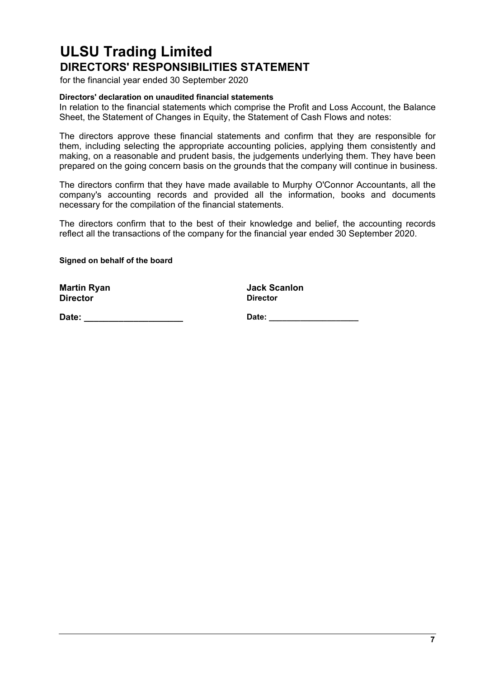# **ULSU Trading Limited DIRECTORS' RESPONSIBILITIES STATEMENT**

for the financial year ended 30 September 2020

#### **Directors' declaration on unaudited financial statements**

In relation to the financial statements which comprise the Profit and Loss Account, the Balance Sheet, the Statement of Changes in Equity, the Statement of Cash Flows and notes:

The directors approve these financial statements and confirm that they are responsible for them, including selecting the appropriate accounting policies, applying them consistently and making, on a reasonable and prudent basis, the judgements underlying them. They have been prepared on the going concern basis on the grounds that the company will continue in business.

The directors confirm that they have made available to Murphy O'Connor Accountants, all the company's accounting records and provided all the information, books and documents necessary for the compilation of the financial statements.

The directors confirm that to the best of their knowledge and belief, the accounting records reflect all the transactions of the company for the financial year ended 30 September 2020.

**Signed on behalf of the board**

**Martin Ryan Jack Scanlon Director Director**

**Date: \_\_\_\_\_\_\_\_\_\_\_\_\_\_\_\_\_\_\_\_ Date: \_\_\_\_\_\_\_\_\_\_\_\_\_\_\_\_\_\_\_\_**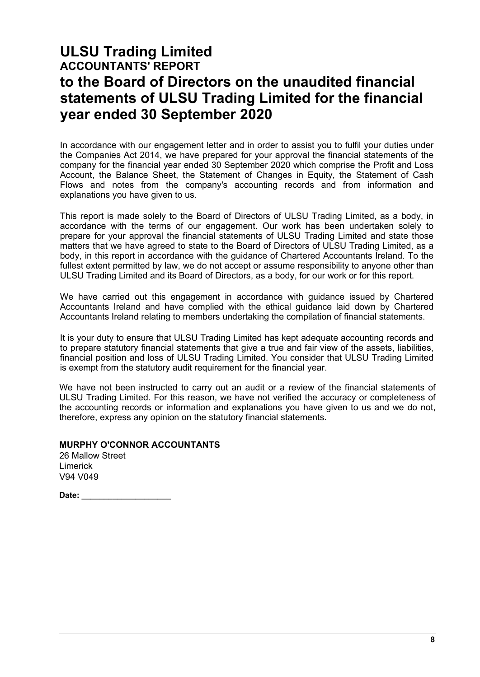# **ULSU Trading Limited ACCOUNTANTS' REPORT to the Board of Directors on the unaudited financial statements of ULSU Trading Limited for the financial year ended 30 September 2020**

In accordance with our engagement letter and in order to assist you to fulfil your duties under the Companies Act 2014, we have prepared for your approval the financial statements of the company for the financial year ended 30 September 2020 which comprise the Profit and Loss Account, the Balance Sheet, the Statement of Changes in Equity, the Statement of Cash Flows and notes from the company's accounting records and from information and explanations you have given to us.

This report is made solely to the Board of Directors of ULSU Trading Limited, as a body, in accordance with the terms of our engagement. Our work has been undertaken solely to prepare for your approval the financial statements of ULSU Trading Limited and state those matters that we have agreed to state to the Board of Directors of ULSU Trading Limited, as a body, in this report in accordance with the guidance of Chartered Accountants Ireland. To the fullest extent permitted by law, we do not accept or assume responsibility to anyone other than ULSU Trading Limited and its Board of Directors, as a body, for our work or for this report.

We have carried out this engagement in accordance with guidance issued by Chartered Accountants Ireland and have complied with the ethical guidance laid down by Chartered Accountants Ireland relating to members undertaking the compilation of financial statements.

It is your duty to ensure that ULSU Trading Limited has kept adequate accounting records and to prepare statutory financial statements that give a true and fair view of the assets, liabilities, financial position and loss of ULSU Trading Limited. You consider that ULSU Trading Limited is exempt from the statutory audit requirement for the financial year.

We have not been instructed to carry out an audit or a review of the financial statements of ULSU Trading Limited. For this reason, we have not verified the accuracy or completeness of the accounting records or information and explanations you have given to us and we do not, therefore, express any opinion on the statutory financial statements.

### **MURPHY O'CONNOR ACCOUNTANTS**

| 26 Mallow Street |  |
|------------------|--|
| Limerick         |  |
| V94 V049         |  |

**Date: \_\_\_\_\_\_\_\_\_\_\_\_\_\_\_\_\_\_\_\_**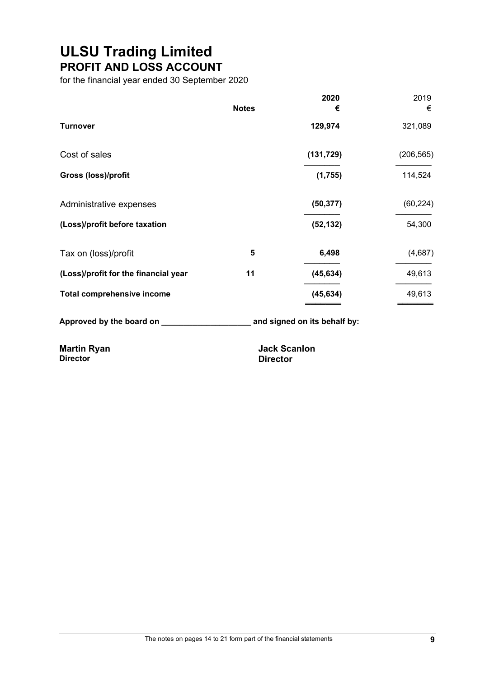# **ULSU Trading Limited PROFIT AND LOSS ACCOUNT**

for the financial year ended 30 September 2020

|                                      |              | 2020                | 2019       |
|--------------------------------------|--------------|---------------------|------------|
|                                      | <b>Notes</b> | €                   | €          |
| <b>Turnover</b>                      |              | 129,974             | 321,089    |
| Cost of sales                        |              | (131, 729)          | (206, 565) |
| Gross (loss)/profit                  |              | (1,755)             | 114,524    |
| Administrative expenses              |              | (50, 377)           | (60, 224)  |
| (Loss)/profit before taxation        |              | (52, 132)           | 54,300     |
| Tax on (loss)/profit                 | 5            | 6,498               | (4,687)    |
| (Loss)/profit for the financial year | 11           | (45, 634)           | 49,613     |
| <b>Total comprehensive income</b>    |              | (45, 634)           | 49,613     |
|                                      |              |                     |            |
| <b>Martin Ryan</b>                   |              | <b>Jack Scanlon</b> |            |

**Director Director**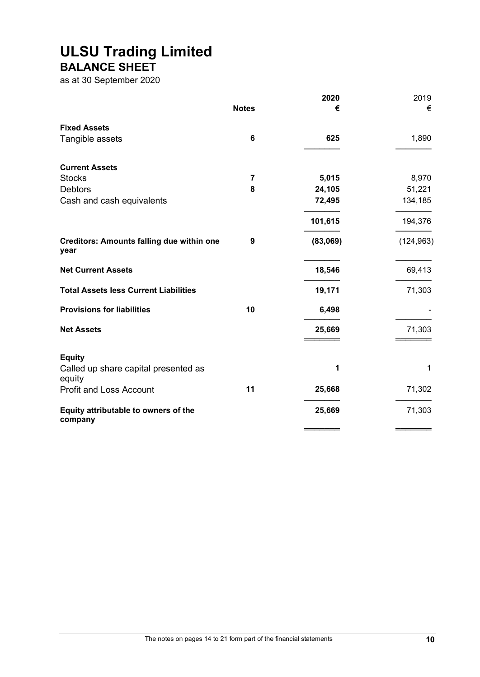### **ULSU Trading Limited BALANCE SHEET**

as at 30 September 2020

|                                                          |                         | 2020     | 2019       |
|----------------------------------------------------------|-------------------------|----------|------------|
|                                                          | <b>Notes</b>            | €        | €          |
| <b>Fixed Assets</b>                                      |                         |          |            |
| Tangible assets                                          | $6\phantom{1}6$         | 625      | 1,890      |
| <b>Current Assets</b>                                    |                         |          |            |
| <b>Stocks</b>                                            | $\overline{\mathbf{7}}$ | 5,015    | 8,970      |
| <b>Debtors</b>                                           | 8                       | 24,105   | 51,221     |
| Cash and cash equivalents                                |                         | 72,495   | 134,185    |
|                                                          |                         | 101,615  | 194,376    |
| <b>Creditors: Amounts falling due within one</b><br>year | 9                       | (83,069) | (124, 963) |
| <b>Net Current Assets</b>                                |                         | 18,546   | 69,413     |
| <b>Total Assets less Current Liabilities</b>             |                         | 19,171   | 71,303     |
| <b>Provisions for liabilities</b>                        | 10                      | 6,498    |            |
| <b>Net Assets</b>                                        |                         | 25,669   | 71,303     |
| <b>Equity</b>                                            |                         |          |            |
| Called up share capital presented as<br>equity           |                         | 1        | 1          |
| <b>Profit and Loss Account</b>                           | 11                      | 25,668   | 71,302     |
| Equity attributable to owners of the<br>company          |                         | 25,669   | 71,303     |
|                                                          |                         |          |            |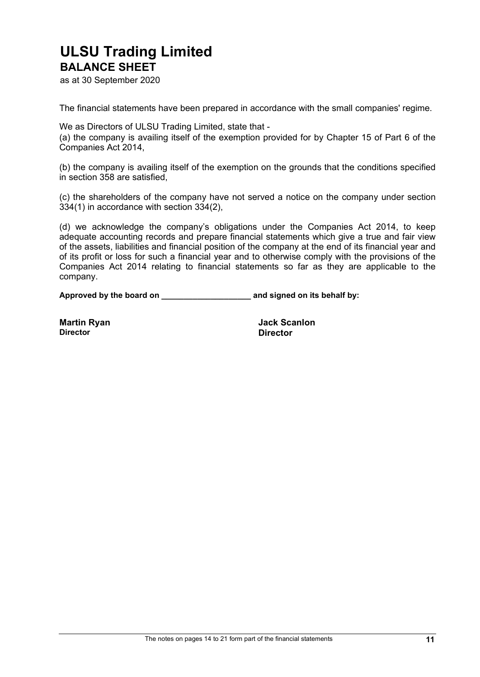### **ULSU Trading Limited BALANCE SHEET**

as at 30 September 2020

The financial statements have been prepared in accordance with the small companies' regime.

We as Directors of ULSU Trading Limited, state that -

(a) the company is availing itself of the exemption provided for by Chapter 15 of Part 6 of the Companies Act 2014,

(b) the company is availing itself of the exemption on the grounds that the conditions specified in section 358 are satisfied,

(c) the shareholders of the company have not served a notice on the company under section 334(1) in accordance with section 334(2),

(d) we acknowledge the company's obligations under the Companies Act 2014, to keep adequate accounting records and prepare financial statements which give a true and fair view of the assets, liabilities and financial position of the company at the end of its financial year and of its profit or loss for such a financial year and to otherwise comply with the provisions of the Companies Act 2014 relating to financial statements so far as they are applicable to the company.

**Approved by the board on \_\_\_\_\_\_\_\_\_\_\_\_\_\_\_\_\_\_\_\_ and signed on its behalf by:**

**Director Director**

**Martin Ryan Jack Scanlon**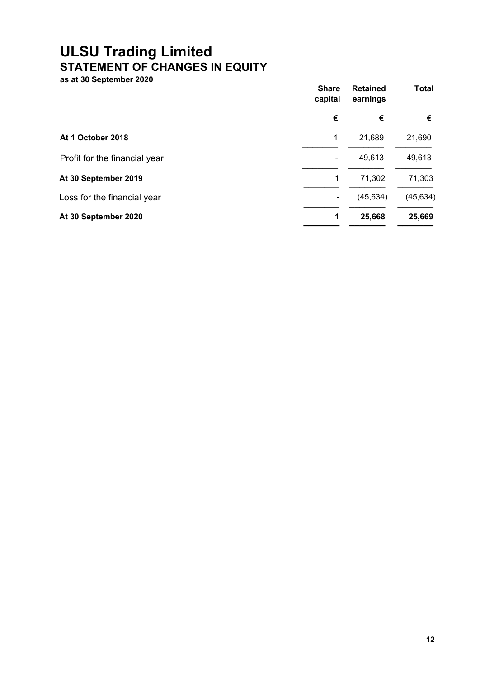# **ULSU Trading Limited STATEMENT OF CHANGES IN EQUITY**

**as at 30 September 2020**

|                               | <b>Share</b><br>capital | <b>Retained</b><br>earnings | <b>Total</b> |
|-------------------------------|-------------------------|-----------------------------|--------------|
|                               | €                       | €                           | €            |
| At 1 October 2018             | 1                       | 21,689                      | 21,690       |
| Profit for the financial year |                         | 49,613                      | 49,613       |
| At 30 September 2019          | 1                       | 71,302                      | 71,303       |
| Loss for the financial year   |                         | (45, 634)                   | (45, 634)    |
| At 30 September 2020          | 1                       | 25,668                      | 25,669       |
|                               |                         |                             |              |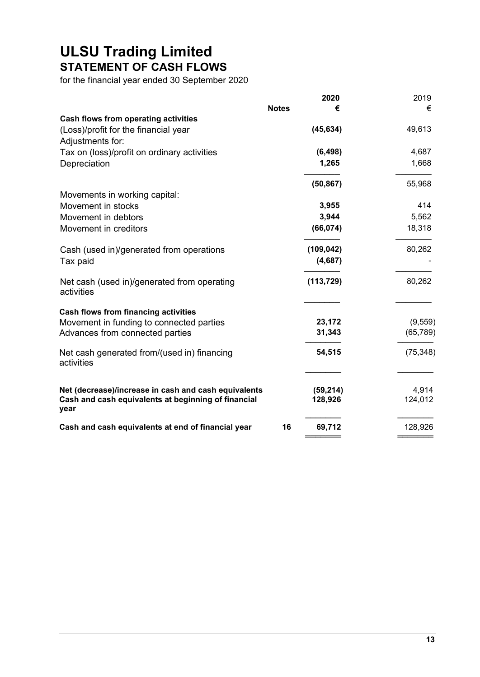# **ULSU Trading Limited STATEMENT OF CASH FLOWS**

for the financial year ended 30 September 2020

|                                                                                                                     |              | 2020                 | 2019             |
|---------------------------------------------------------------------------------------------------------------------|--------------|----------------------|------------------|
|                                                                                                                     | <b>Notes</b> | €                    | €                |
| Cash flows from operating activities                                                                                |              |                      |                  |
| (Loss)/profit for the financial year                                                                                |              | (45, 634)            | 49,613           |
| Adjustments for:                                                                                                    |              |                      |                  |
| Tax on (loss)/profit on ordinary activities                                                                         |              | (6, 498)             | 4,687            |
| Depreciation                                                                                                        |              | 1,265                | 1,668            |
|                                                                                                                     |              | (50, 867)            | 55,968           |
| Movements in working capital:                                                                                       |              |                      |                  |
| Movement in stocks                                                                                                  |              | 3,955                | 414              |
| Movement in debtors                                                                                                 |              | 3,944                | 5,562            |
| Movement in creditors                                                                                               |              | (66, 074)            | 18,318           |
| Cash (used in)/generated from operations                                                                            |              | (109, 042)           | 80,262           |
| Tax paid                                                                                                            |              | (4,687)              |                  |
| Net cash (used in)/generated from operating<br>activities                                                           |              | (113, 729)           | 80,262           |
| <b>Cash flows from financing activities</b>                                                                         |              |                      |                  |
| Movement in funding to connected parties                                                                            |              | 23,172               | (9, 559)         |
| Advances from connected parties                                                                                     |              | 31,343               | (65, 789)        |
| Net cash generated from/(used in) financing<br>activities                                                           |              | 54,515               | (75, 348)        |
|                                                                                                                     |              |                      |                  |
| Net (decrease)/increase in cash and cash equivalents<br>Cash and cash equivalents at beginning of financial<br>year |              | (59, 214)<br>128,926 | 4,914<br>124,012 |
| Cash and cash equivalents at end of financial year                                                                  | 16           | 69,712               | 128,926          |
|                                                                                                                     |              |                      |                  |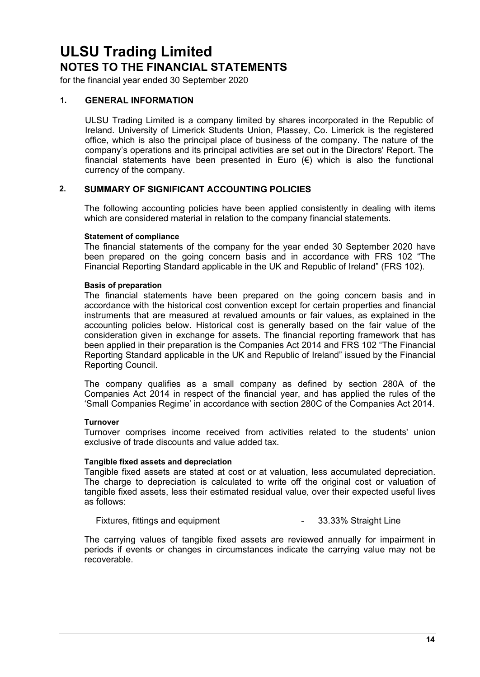for the financial year ended 30 September 2020

### **1. GENERAL INFORMATION**

ULSU Trading Limited is a company limited by shares incorporated in the Republic of Ireland. University of Limerick Students Union, Plassey, Co. Limerick is the registered office, which is also the principal place of business of the company. The nature of the company's operations and its principal activities are set out in the Directors' Report. The financial statements have been presented in Euro  $(\epsilon)$  which is also the functional currency of the company.

### **2. SUMMARY OF SIGNIFICANT ACCOUNTING POLICIES**

The following accounting policies have been applied consistently in dealing with items which are considered material in relation to the company financial statements.

#### **Statement of compliance**

The financial statements of the company for the year ended 30 September 2020 have been prepared on the going concern basis and in accordance with FRS 102 "The Financial Reporting Standard applicable in the UK and Republic of Ireland" (FRS 102).

#### **Basis of preparation**

The financial statements have been prepared on the going concern basis and in accordance with the historical cost convention except for certain properties and financial instruments that are measured at revalued amounts or fair values, as explained in the accounting policies below. Historical cost is generally based on the fair value of the consideration given in exchange for assets. The financial reporting framework that has been applied in their preparation is the Companies Act 2014 and FRS 102 "The Financial Reporting Standard applicable in the UK and Republic of Ireland" issued by the Financial Reporting Council.

The company qualifies as a small company as defined by section 280A of the Companies Act 2014 in respect of the financial year, and has applied the rules of the 'Small Companies Regime' in accordance with section 280C of the Companies Act 2014.

### **Turnover**

Turnover comprises income received from activities related to the students' union exclusive of trade discounts and value added tax.

#### **Tangible fixed assets and depreciation**

Tangible fixed assets are stated at cost or at valuation, less accumulated depreciation. The charge to depreciation is calculated to write off the original cost or valuation of tangible fixed assets, less their estimated residual value, over their expected useful lives as follows:

Fixtures, fittings and equipment Theorem Control of the Sandy Straight Line

The carrying values of tangible fixed assets are reviewed annually for impairment in periods if events or changes in circumstances indicate the carrying value may not be recoverable.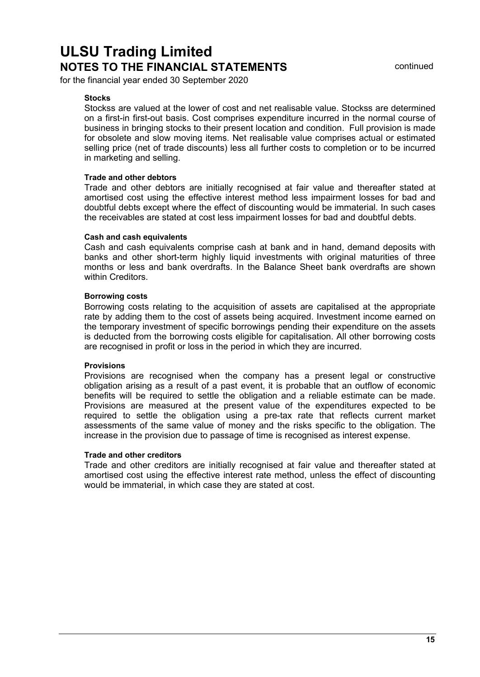for the financial year ended 30 September 2020

### **Stocks**

Stockss are valued at the lower of cost and net realisable value. Stockss are determined on a first-in first-out basis. Cost comprises expenditure incurred in the normal course of business in bringing stocks to their present location and condition. Full provision is made for obsolete and slow moving items. Net realisable value comprises actual or estimated selling price (net of trade discounts) less all further costs to completion or to be incurred in marketing and selling.

### **Trade and other debtors**

Trade and other debtors are initially recognised at fair value and thereafter stated at amortised cost using the effective interest method less impairment losses for bad and doubtful debts except where the effect of discounting would be immaterial. In such cases the receivables are stated at cost less impairment losses for bad and doubtful debts.

#### **Cash and cash equivalents**

Cash and cash equivalents comprise cash at bank and in hand, demand deposits with banks and other short-term highly liquid investments with original maturities of three months or less and bank overdrafts. In the Balance Sheet bank overdrafts are shown within Creditors.

#### **Borrowing costs**

Borrowing costs relating to the acquisition of assets are capitalised at the appropriate rate by adding them to the cost of assets being acquired. Investment income earned on the temporary investment of specific borrowings pending their expenditure on the assets is deducted from the borrowing costs eligible for capitalisation. All other borrowing costs are recognised in profit or loss in the period in which they are incurred.

#### **Provisions**

Provisions are recognised when the company has a present legal or constructive obligation arising as a result of a past event, it is probable that an outflow of economic benefits will be required to settle the obligation and a reliable estimate can be made. Provisions are measured at the present value of the expenditures expected to be required to settle the obligation using a pre-tax rate that reflects current market assessments of the same value of money and the risks specific to the obligation. The increase in the provision due to passage of time is recognised as interest expense.

#### **Trade and other creditors**

Trade and other creditors are initially recognised at fair value and thereafter stated at amortised cost using the effective interest rate method, unless the effect of discounting would be immaterial, in which case they are stated at cost.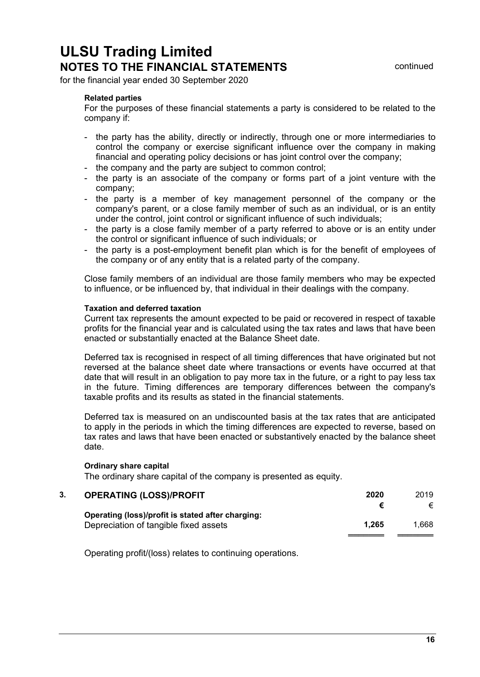for the financial year ended 30 September 2020

#### **Related parties**

For the purposes of these financial statements a party is considered to be related to the company if:

- the party has the ability, directly or indirectly, through one or more intermediaries to control the company or exercise significant influence over the company in making financial and operating policy decisions or has joint control over the company;
- the company and the party are subject to common control;
- the party is an associate of the company or forms part of a joint venture with the company;
- the party is a member of key management personnel of the company or the company's parent, or a close family member of such as an individual, or is an entity under the control, joint control or significant influence of such individuals;
- the party is a close family member of a party referred to above or is an entity under the control or significant influence of such individuals; or
- the party is a post-employment benefit plan which is for the benefit of employees of the company or of any entity that is a related party of the company.

Close family members of an individual are those family members who may be expected to influence, or be influenced by, that individual in their dealings with the company.

#### **Taxation and deferred taxation**

Current tax represents the amount expected to be paid or recovered in respect of taxable profits for the financial year and is calculated using the tax rates and laws that have been enacted or substantially enacted at the Balance Sheet date.

Deferred tax is recognised in respect of all timing differences that have originated but not reversed at the balance sheet date where transactions or events have occurred at that date that will result in an obligation to pay more tax in the future, or a right to pay less tax in the future. Timing differences are temporary differences between the company's taxable profits and its results as stated in the financial statements.

Deferred tax is measured on an undiscounted basis at the tax rates that are anticipated to apply in the periods in which the timing differences are expected to reverse, based on tax rates and laws that have been enacted or substantively enacted by the balance sheet date.

#### **Ordinary share capital**

The ordinary share capital of the company is presented as equity.

| 3. | <b>OPERATING (LOSS)/PROFIT</b>                                                             | 2020  | 2019  |  |
|----|--------------------------------------------------------------------------------------------|-------|-------|--|
|    |                                                                                            |       |       |  |
|    | Operating (loss)/profit is stated after charging:<br>Depreciation of tangible fixed assets | 1.265 | 1.668 |  |

Operating profit/(loss) relates to continuing operations.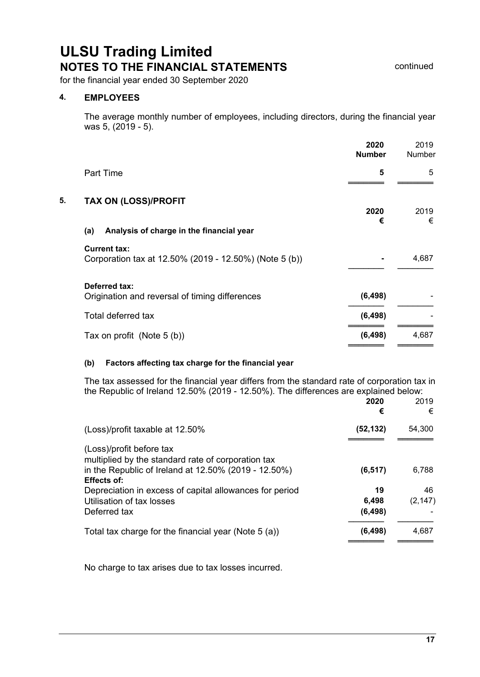for the financial year ended 30 September 2020

### **4. EMPLOYEES**

The average monthly number of employees, including directors, during the financial year was 5, (2019 - 5).

|    |                                                                               | 2020<br><b>Number</b> | 2019<br>Number |
|----|-------------------------------------------------------------------------------|-----------------------|----------------|
|    | <b>Part Time</b>                                                              | 5                     | 5              |
| 5. | <b>TAX ON (LOSS)/PROFIT</b>                                                   | 2020                  | 2019           |
|    | Analysis of charge in the financial year<br>(a)                               | €                     | €              |
|    | <b>Current tax:</b><br>Corporation tax at 12.50% (2019 - 12.50%) (Note 5 (b)) |                       | 4,687          |
|    | Deferred tax:<br>Origination and reversal of timing differences               | (6, 498)              |                |
|    | Total deferred tax                                                            | (6, 498)              |                |
|    | Tax on profit (Note 5 (b))                                                    | (6, 498)              | 4,687          |
|    |                                                                               |                       |                |

#### **(b) Factors affecting tax charge for the financial year**

The tax assessed for the financial year differs from the standard rate of corporation tax in the Republic of Ireland 12.50% (2019 - 12.50%). The differences are explained below:

|                                                                                                                                                              | 2020<br>€              | 2019<br>€      |
|--------------------------------------------------------------------------------------------------------------------------------------------------------------|------------------------|----------------|
| (Loss)/profit taxable at 12.50%                                                                                                                              | (52, 132)              | 54,300         |
| (Loss)/profit before tax<br>multiplied by the standard rate of corporation tax<br>in the Republic of Ireland at 12.50% (2019 - 12.50%)<br><b>Effects of:</b> | (6, 517)               | 6.788          |
| Depreciation in excess of capital allowances for period<br>Utilisation of tax losses<br>Deferred tax                                                         | 19<br>6,498<br>(6,498) | 46<br>(2, 147) |
| Total tax charge for the financial year (Note 5 (a))                                                                                                         | (6,498)                | 4,687          |

No charge to tax arises due to tax losses incurred.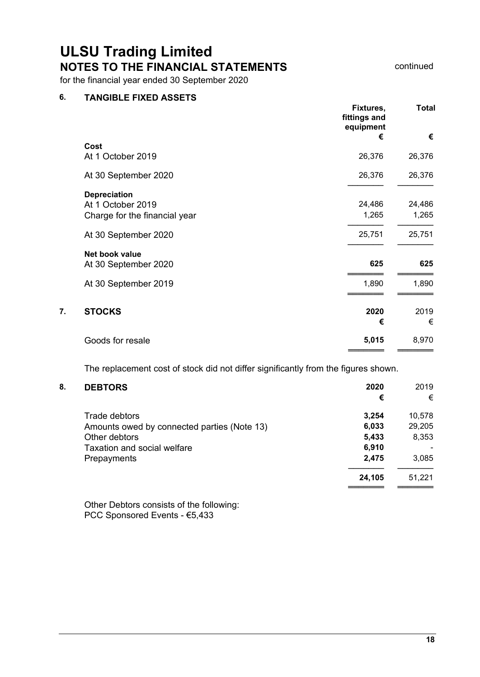for the financial year ended 30 September 2020

### **6. TANGIBLE FIXED ASSETS**

|    |                               | Fixtures,<br>fittings and<br>equipment | <b>Total</b> |
|----|-------------------------------|----------------------------------------|--------------|
|    |                               | €                                      | €            |
|    | Cost                          |                                        |              |
|    | At 1 October 2019             | 26,376                                 | 26,376       |
|    | At 30 September 2020          | 26,376                                 | 26,376       |
|    | <b>Depreciation</b>           |                                        |              |
|    | At 1 October 2019             | 24,486                                 | 24,486       |
|    | Charge for the financial year | 1,265                                  | 1,265        |
|    | At 30 September 2020          | 25,751                                 | 25,751       |
|    | Net book value                |                                        |              |
|    | At 30 September 2020          | 625                                    | 625          |
|    | At 30 September 2019          | 1,890                                  | 1,890        |
|    |                               |                                        |              |
| 7. | <b>STOCKS</b>                 | 2020                                   | 2019         |
|    |                               | €                                      | €            |
|    | Goods for resale              | 5,015                                  | 8,970        |
|    |                               |                                        |              |

The replacement cost of stock did not differ significantly from the figures shown.

#### **8. DEBTORS 2020** 2019

|                                             | €      | €                        |
|---------------------------------------------|--------|--------------------------|
| Trade debtors                               | 3.254  | 10,578                   |
| Amounts owed by connected parties (Note 13) | 6,033  | 29,205                   |
| Other debtors                               | 5,433  | 8,353                    |
| <b>Taxation and social welfare</b>          | 6,910  | $\overline{\phantom{a}}$ |
| Prepayments                                 | 2,475  | 3.085                    |
|                                             | 24,105 | 51,221                   |
|                                             |        |                          |

Other Debtors consists of the following: PCC Sponsored Events - €5,433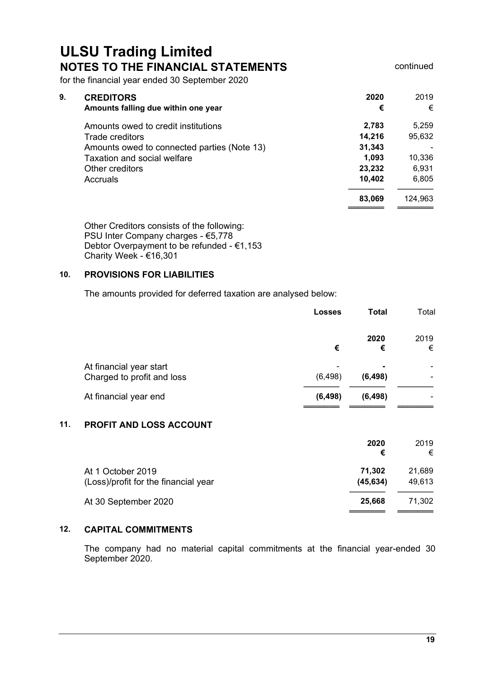════════<br>═

for the financial year ended 30 September 2020

| 9. | <b>CREDITORS</b><br>Amounts falling due within one year | 2020<br>€ | 2019<br>€ |
|----|---------------------------------------------------------|-----------|-----------|
|    | Amounts owed to credit institutions                     | 2,783     | 5,259     |
|    | Trade creditors                                         | 14.216    | 95,632    |
|    | Amounts owed to connected parties (Note 13)             | 31,343    |           |
|    | <b>Taxation and social welfare</b>                      | 1,093     | 10,336    |
|    | Other creditors                                         | 23,232    | 6.931     |
|    | Accruals                                                | 10.402    | 6,805     |
|    |                                                         | 83,069    | 124.963   |

Other Creditors consists of the following: PSU Inter Company charges - €5,778 Debtor Overpayment to be refunded - €1,153 Charity Week - €16,301

### **10. PROVISIONS FOR LIABILITIES**

The amounts provided for deferred taxation are analysed below:

|                                                       | <b>Losses</b> | <b>Total</b>                         | Total                                                |
|-------------------------------------------------------|---------------|--------------------------------------|------------------------------------------------------|
|                                                       | €             | 2020<br>€                            | 2019<br>€                                            |
| At financial year start<br>Charged to profit and loss | (6, 498)      | $\overline{\phantom{0}}$<br>(6, 498) | $\overline{\phantom{a}}$<br>$\overline{\phantom{a}}$ |
| At financial year end                                 | (6, 498)      | (6, 498)                             | $\overline{\phantom{a}}$                             |

### **11. PROFIT AND LOSS ACCOUNT**

|                                                           | 2020<br>€           | 2019<br>€        |
|-----------------------------------------------------------|---------------------|------------------|
| At 1 October 2019<br>(Loss)/profit for the financial year | 71.302<br>(45, 634) | 21,689<br>49,613 |
| At 30 September 2020                                      | 25.668              | 71.302           |

### **12. CAPITAL COMMITMENTS**

The company had no material capital commitments at the financial year-ended 30 September 2020.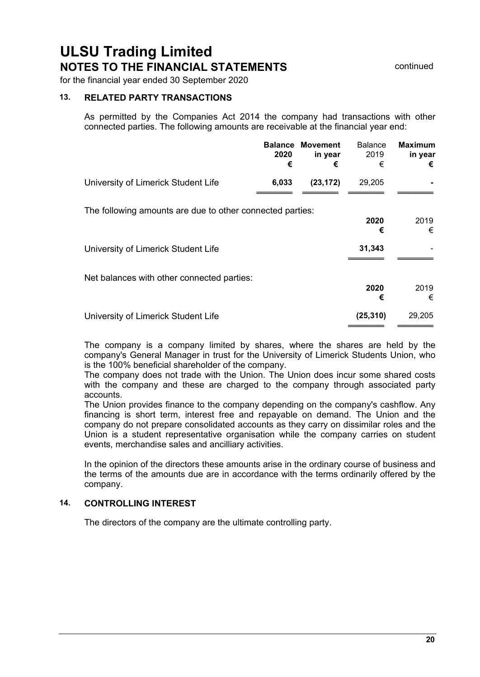for the financial year ended 30 September 2020

#### **13. RELATED PARTY TRANSACTIONS**

As permitted by the Companies Act 2014 the company had transactions with other connected parties. The following amounts are receivable at the financial year end:

|                                                           | 2020<br>€ | <b>Balance Movement</b><br>in year<br>€ | <b>Balance</b><br>2019<br>€ | <b>Maximum</b><br>in year<br>€ |  |
|-----------------------------------------------------------|-----------|-----------------------------------------|-----------------------------|--------------------------------|--|
| University of Limerick Student Life                       | 6,033     | (23, 172)                               | 29,205                      |                                |  |
| The following amounts are due to other connected parties: |           |                                         | 2020<br>€                   | 2019<br>€                      |  |
| University of Limerick Student Life                       |           |                                         | 31,343                      |                                |  |
| Net balances with other connected parties:                |           |                                         | 2020<br>€                   | 2019<br>€                      |  |
| University of Limerick Student Life                       |           |                                         | (25, 310)                   | 29,205                         |  |

The company is a company limited by shares, where the shares are held by the company's General Manager in trust for the University of Limerick Students Union, who is the 100% beneficial shareholder of the company.

The company does not trade with the Union. The Union does incur some shared costs with the company and these are charged to the company through associated party accounts.

The Union provides finance to the company depending on the company's cashflow. Any financing is short term, interest free and repayable on demand. The Union and the company do not prepare consolidated accounts as they carry on dissimilar roles and the Union is a student representative organisation while the company carries on student events, merchandise sales and ancilliary activities.

In the opinion of the directors these amounts arise in the ordinary course of business and the terms of the amounts due are in accordance with the terms ordinarily offered by the company.

### **14. CONTROLLING INTEREST**

The directors of the company are the ultimate controlling party.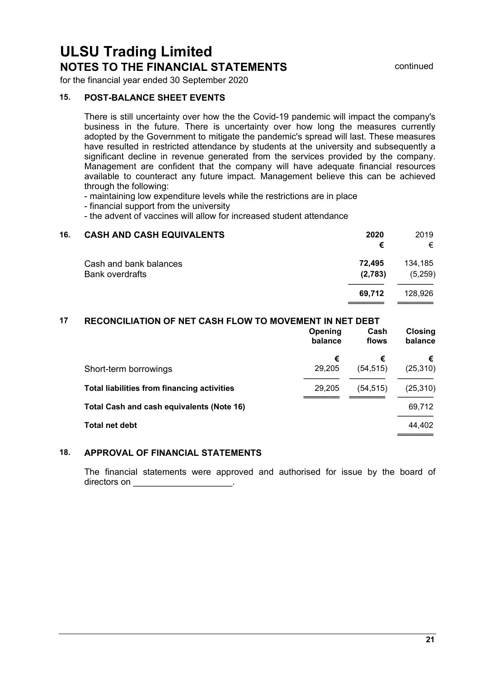for the financial year ended 30 September 2020

### **15. POST-BALANCE SHEET EVENTS**

There is still uncertainty over how the the Covid-19 pandemic will impact the company's business in the future. There is uncertainty over how long the measures currently adopted by the Government to mitigate the pandemic's spread will last. These measures have resulted in restricted attendance by students at the university and subsequently a significant decline in revenue generated from the services provided by the company. Management are confident that the company will have adequate financial resources available to counteract any future impact. Management believe this can be achieved through the following:

- maintaining low expenditure levels while the restrictions are in place

- financial support from the university

- the advent of vaccines will allow for increased student attendance

| 16. | <b>CASH AND CASH EQUIVALENTS</b>                 | 2020<br>€         | 2019<br>€          |
|-----|--------------------------------------------------|-------------------|--------------------|
|     | Cash and bank balances<br><b>Bank overdrafts</b> | 72.495<br>(2,783) | 134,185<br>(5,259) |
|     |                                                  | 69.712            | 128.926            |

### **17 RECONCILIATION OF NET CASH FLOW TO MOVEMENT IN NET DEBT**

|                                                    | Opening<br>balance | Cash<br>flows | Closing<br>balance |
|----------------------------------------------------|--------------------|---------------|--------------------|
|                                                    | €                  | €             | €                  |
| Short-term borrowings                              | 29,205             | (54, 515)     | (25, 310)          |
| <b>Total liabilities from financing activities</b> | 29,205             | (54, 515)     | (25, 310)          |
| Total Cash and cash equivalents (Note 16)          |                    |               | 69,712             |
| <b>Total net debt</b>                              |                    |               | 44,402             |
|                                                    |                    |               |                    |

### **18. APPROVAL OF FINANCIAL STATEMENTS**

The financial statements were approved and authorised for issue by the board of directors on **and**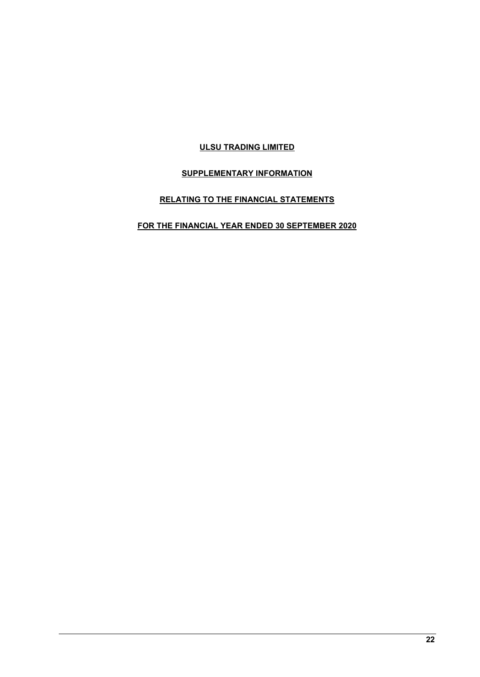### **ULSU TRADING LIMITED**

### **SUPPLEMENTARY INFORMATION**

### **RELATING TO THE FINANCIAL STATEMENTS**

### **FOR THE FINANCIAL YEAR ENDED 30 SEPTEMBER 2020**